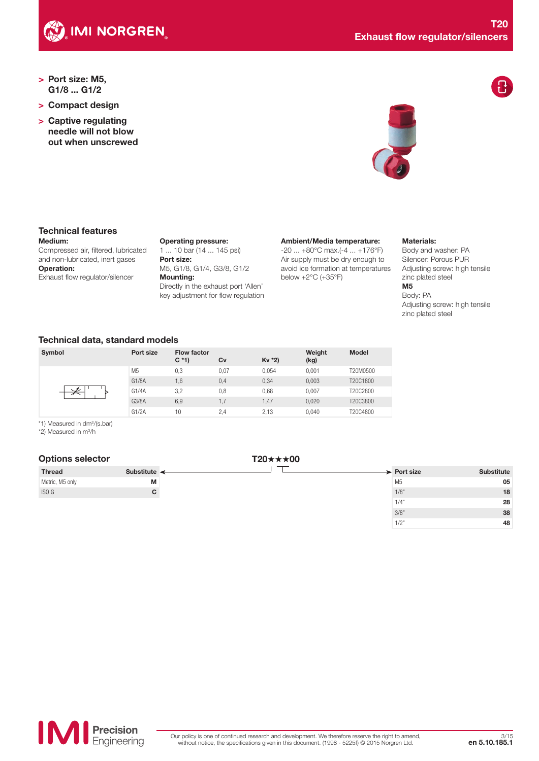

- > Port size: M5, G1/8 ... G1/2
- > Compact design
- > Captive regulating needle will not blow out when unscrewed



# Technical features

Medium: Compressed air, filtered, lubricated and non-lubricated, inert gases Operation: Exhaust flow regulator/silencer

Operating pressure: 1 ... 10 bar (14 ... 145 psi) Port size: M5, G1/8, G1/4, G3/8, G1/2 Mounting: Directly in the exhaust port 'Allen' key adjustment for flow regulation Ambient/Media temperature:

-20 ... +80°C max.(-4 ... +176°F) Air supply must be dry enough to avoid ice formation at temperatures below +2°C (+35°F)

#### Materials:

Body and washer: PA Silencer: Porous PUR Adjusting screw: high tensile zinc plated steel M5

## Body: PA

Adjusting screw: high tensile zinc plated steel

 $1/2"$  48

## Technical data, standard models

| Symbol | Port size      | Flow factor<br>$C * 1$ | Cv   | $Kv *2$ | Weight<br>(kg) | <b>Model</b> |
|--------|----------------|------------------------|------|---------|----------------|--------------|
|        | M <sub>5</sub> | 0,3                    | 0,07 | 0.054   | 0.001          | T20M0500     |
|        | G1/8A          | 1,6                    | 0,4  | 0,34    | 0.003          | T20C1800     |
|        | G1/4A          | 3,2                    | 0,8  | 0,68    | 0.007          | T20C2800     |
|        | G3/8A          | 6,9                    | 1.7  | 1,47    | 0.020          | T20C3800     |
|        | G1/2A          | 10                     | 2,4  | 2.13    | 0.040          | T20C4800     |

\*1) Measured in dm3 /(s.bar)

\*2) Measured in m<sup>3</sup>/h

| <b>Options selector</b> |                            | $T20 \star \star \star 00$ |                         |                   |
|-------------------------|----------------------------|----------------------------|-------------------------|-------------------|
| <b>Thread</b>           | Substitute $\triangleleft$ |                            | $\rightarrow$ Port size | <b>Substitute</b> |
| Metric, M5 only         | M                          |                            | M5                      | 05                |
| ISO <sub>G</sub>        | C.                         |                            | 1/8"                    | 18                |
|                         |                            |                            | 1/4'                    | 28                |
|                         |                            |                            | 3/8"                    | 38                |